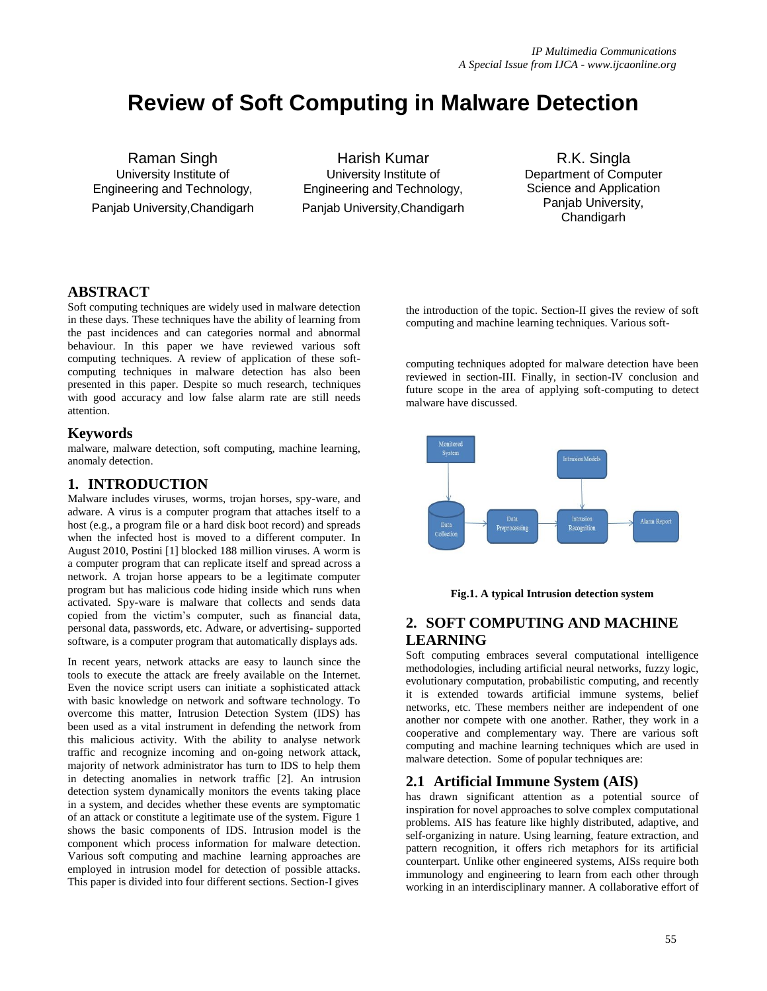# **Review of Soft Computing in Malware Detection**

Raman Singh University Institute of Engineering and Technology, Panjab University,Chandigarh

Harish Kumar University Institute of Engineering and Technology, Panjab University,Chandigarh

R.K. Singla Department of Computer Science and Application Panjab University, Chandigarh

# **ABSTRACT**

Soft computing techniques are widely used in malware detection in these days. These techniques have the ability of learning from the past incidences and can categories normal and abnormal behaviour. In this paper we have reviewed various soft computing techniques. A review of application of these softcomputing techniques in malware detection has also been presented in this paper. Despite so much research, techniques with good accuracy and low false alarm rate are still needs attention.

#### **Keywords**

malware, malware detection, soft computing, machine learning, anomaly detection.

# **1. INTRODUCTION**

Malware includes viruses, worms, trojan horses, spy-ware, and adware. A virus is a computer program that attaches itself to a host (e.g., a program file or a hard disk boot record) and spreads when the infected host is moved to a different computer. In August 2010, Postini [1] blocked 188 million viruses. A worm is a computer program that can replicate itself and spread across a network. A trojan horse appears to be a legitimate computer program but has malicious code hiding inside which runs when activated. Spy-ware is malware that collects and sends data copied from the victim's computer, such as financial data, personal data, passwords, etc. Adware, or advertising- supported software, is a computer program that automatically displays ads.

In recent years, network attacks are easy to launch since the tools to execute the attack are freely available on the Internet. Even the novice script users can initiate a sophisticated attack with basic knowledge on network and software technology. To overcome this matter, Intrusion Detection System (IDS) has been used as a vital instrument in defending the network from this malicious activity. With the ability to analyse network traffic and recognize incoming and on-going network attack, majority of network administrator has turn to IDS to help them in detecting anomalies in network traffic [2]. An intrusion detection system dynamically monitors the events taking place in a system, and decides whether these events are symptomatic of an attack or constitute a legitimate use of the system. Figure 1 shows the basic components of IDS. Intrusion model is the component which process information for malware detection. Various soft computing and machine learning approaches are employed in intrusion model for detection of possible attacks. This paper is divided into four different sections. Section-I gives

the introduction of the topic. Section-II gives the review of soft computing and machine learning techniques. Various soft-

computing techniques adopted for malware detection have been reviewed in section-III. Finally, in section-IV conclusion and future scope in the area of applying soft-computing to detect malware have discussed.





# **2. SOFT COMPUTING AND MACHINE LEARNING**

Soft computing embraces several computational intelligence methodologies, including artificial neural networks, fuzzy logic, evolutionary computation, probabilistic computing, and recently it is extended towards artificial immune systems, belief networks, etc. These members neither are independent of one another nor compete with one another. Rather, they work in a cooperative and complementary way. There are various soft computing and machine learning techniques which are used in malware detection. Some of popular techniques are:

## **2.1 Artificial Immune System (AIS)**

has drawn significant attention as a potential source of inspiration for novel approaches to solve complex computational problems. AIS has feature like highly distributed, adaptive, and self-organizing in nature. Using learning, feature extraction, and pattern recognition, it offers rich metaphors for its artificial counterpart. Unlike other engineered systems, AISs require both immunology and engineering to learn from each other through working in an interdisciplinary manner. A collaborative effort of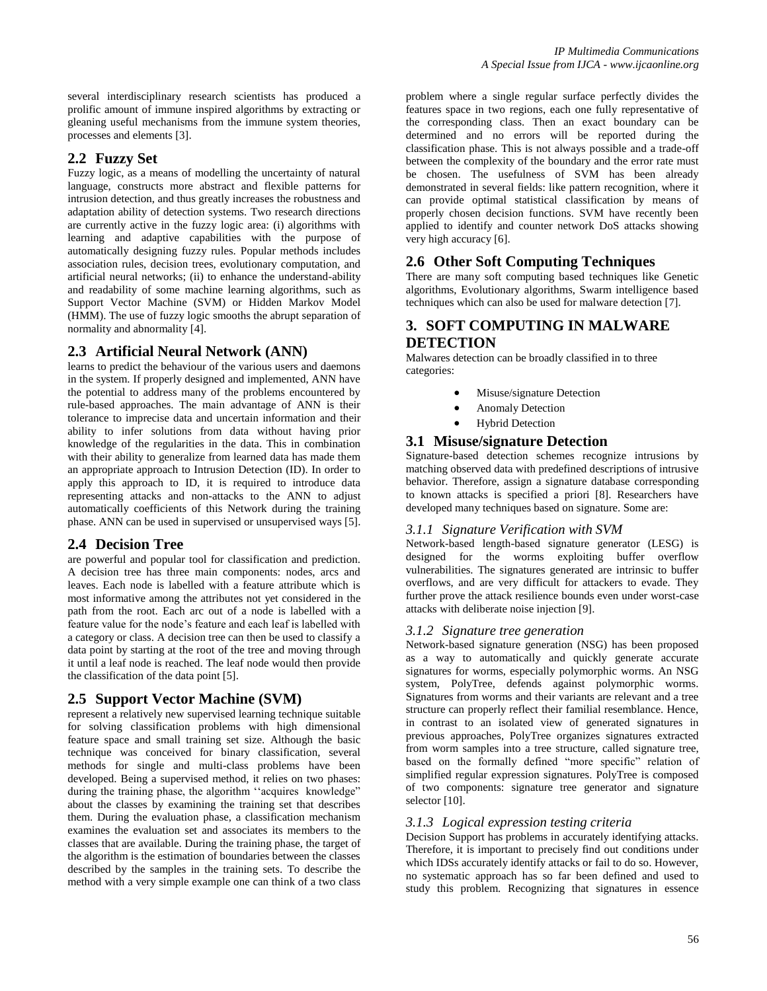several interdisciplinary research scientists has produced a prolific amount of immune inspired algorithms by extracting or gleaning useful mechanisms from the immune system theories, processes and elements [3].

## **2.2 Fuzzy Set**

Fuzzy logic, as a means of modelling the uncertainty of natural language, constructs more abstract and flexible patterns for intrusion detection, and thus greatly increases the robustness and adaptation ability of detection systems. Two research directions are currently active in the fuzzy logic area: (i) algorithms with learning and adaptive capabilities with the purpose of automatically designing fuzzy rules. Popular methods includes association rules, decision trees, evolutionary computation, and artificial neural networks; (ii) to enhance the understand-ability and readability of some machine learning algorithms, such as Support Vector Machine (SVM) or Hidden Markov Model (HMM). The use of fuzzy logic smooths the abrupt separation of normality and abnormality [4].

## **2.3 Artificial Neural Network (ANN)**

learns to predict the behaviour of the various users and daemons in the system. If properly designed and implemented, ANN have the potential to address many of the problems encountered by rule-based approaches. The main advantage of ANN is their tolerance to imprecise data and uncertain information and their ability to infer solutions from data without having prior knowledge of the regularities in the data. This in combination with their ability to generalize from learned data has made them an appropriate approach to Intrusion Detection (ID). In order to apply this approach to ID, it is required to introduce data representing attacks and non-attacks to the ANN to adjust automatically coefficients of this Network during the training phase. ANN can be used in supervised or unsupervised ways [5].

#### **2.4 Decision Tree**

are powerful and popular tool for classification and prediction. A decision tree has three main components: nodes, arcs and leaves. Each node is labelled with a feature attribute which is most informative among the attributes not yet considered in the path from the root. Each arc out of a node is labelled with a feature value for the node's feature and each leaf is labelled with a category or class. A decision tree can then be used to classify a data point by starting at the root of the tree and moving through it until a leaf node is reached. The leaf node would then provide the classification of the data point [5].

#### **2.5 Support Vector Machine (SVM)**

represent a relatively new supervised learning technique suitable for solving classification problems with high dimensional feature space and small training set size. Although the basic technique was conceived for binary classification, several methods for single and multi-class problems have been developed. Being a supervised method, it relies on two phases: during the training phase, the algorithm "acquires knowledge" about the classes by examining the training set that describes them. During the evaluation phase, a classification mechanism examines the evaluation set and associates its members to the classes that are available. During the training phase, the target of the algorithm is the estimation of boundaries between the classes described by the samples in the training sets. To describe the method with a very simple example one can think of a two class

problem where a single regular surface perfectly divides the features space in two regions, each one fully representative of the corresponding class. Then an exact boundary can be determined and no errors will be reported during the classification phase. This is not always possible and a trade-off between the complexity of the boundary and the error rate must be chosen. The usefulness of SVM has been already demonstrated in several fields: like pattern recognition, where it can provide optimal statistical classification by means of properly chosen decision functions. SVM have recently been applied to identify and counter network DoS attacks showing very high accuracy [6].

# **2.6 Other Soft Computing Techniques**

There are many soft computing based techniques like Genetic algorithms, Evolutionary algorithms, Swarm intelligence based techniques which can also be used for malware detection [7].

## **3. SOFT COMPUTING IN MALWARE DETECTION**

Malwares detection can be broadly classified in to three categories:

- Misuse/signature Detection
- Anomaly Detection
- Hybrid Detection

### **3.1 Misuse/signature Detection**

Signature-based detection schemes recognize intrusions by matching observed data with predefined descriptions of intrusive behavior. Therefore, assign a signature database corresponding to known attacks is specified a priori [8]. Researchers have developed many techniques based on signature. Some are:

#### *3.1.1 Signature Verification with SVM*

Network-based length-based signature generator (LESG) is designed for the worms exploiting buffer overflow vulnerabilities. The signatures generated are intrinsic to buffer overflows, and are very difficult for attackers to evade. They further prove the attack resilience bounds even under worst-case attacks with deliberate noise injection [9].

#### *3.1.2 Signature tree generation*

Network-based signature generation (NSG) has been proposed as a way to automatically and quickly generate accurate signatures for worms, especially polymorphic worms. An NSG system, PolyTree, defends against polymorphic worms. Signatures from worms and their variants are relevant and a tree structure can properly reflect their familial resemblance. Hence, in contrast to an isolated view of generated signatures in previous approaches, PolyTree organizes signatures extracted from worm samples into a tree structure, called signature tree, based on the formally defined "more specific" relation of simplified regular expression signatures. PolyTree is composed of two components: signature tree generator and signature selector [10].

#### *3.1.3 Logical expression testing criteria*

Decision Support has problems in accurately identifying attacks. Therefore, it is important to precisely find out conditions under which IDSs accurately identify attacks or fail to do so. However, no systematic approach has so far been defined and used to study this problem. Recognizing that signatures in essence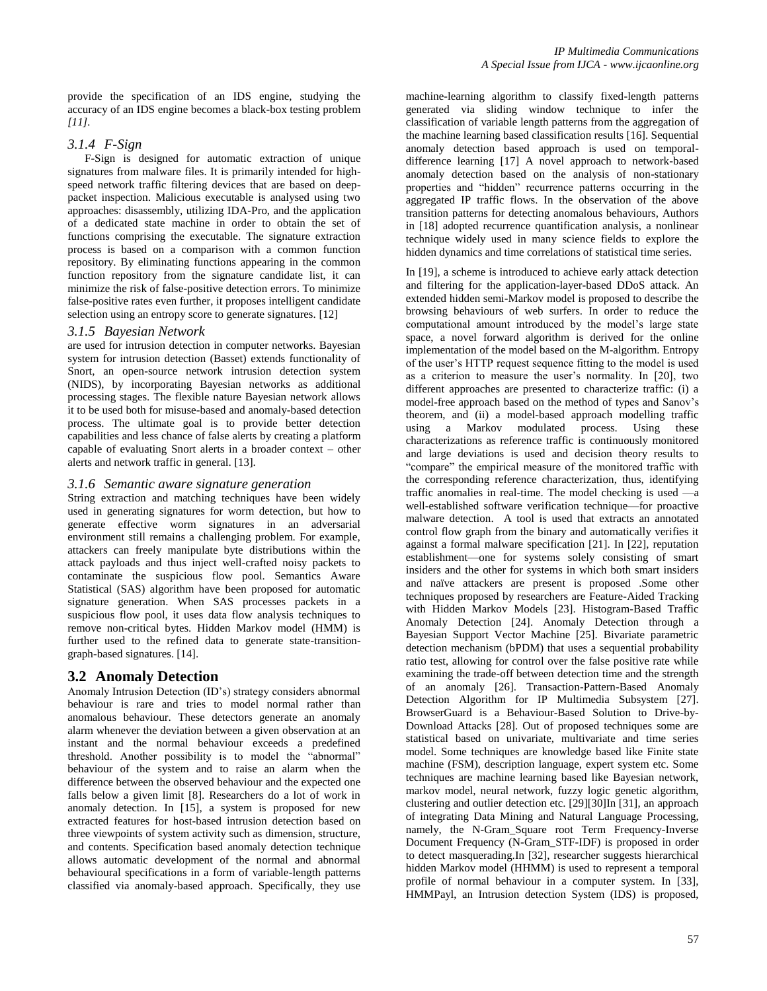provide the specification of an IDS engine, studying the accuracy of an IDS engine becomes a black-box testing problem *[11].*

#### *3.1.4 F-Sign*

 F-Sign is designed for automatic extraction of unique signatures from malware files. It is primarily intended for highspeed network traffic filtering devices that are based on deeppacket inspection. Malicious executable is analysed using two approaches: disassembly, utilizing IDA-Pro, and the application of a dedicated state machine in order to obtain the set of functions comprising the executable. The signature extraction process is based on a comparison with a common function repository. By eliminating functions appearing in the common function repository from the signature candidate list, it can minimize the risk of false-positive detection errors. To minimize false-positive rates even further, it proposes intelligent candidate selection using an entropy score to generate signatures. [12]

#### *3.1.5 Bayesian Network*

are used for intrusion detection in computer networks. Bayesian system for intrusion detection (Basset) extends functionality of Snort, an open-source network intrusion detection system (NIDS), by incorporating Bayesian networks as additional processing stages. The flexible nature Bayesian network allows it to be used both for misuse-based and anomaly-based detection process. The ultimate goal is to provide better detection capabilities and less chance of false alerts by creating a platform capable of evaluating Snort alerts in a broader context – other alerts and network traffic in general. [13].

#### *3.1.6 Semantic aware signature generation*

String extraction and matching techniques have been widely used in generating signatures for worm detection, but how to generate effective worm signatures in an adversarial environment still remains a challenging problem. For example, attackers can freely manipulate byte distributions within the attack payloads and thus inject well-crafted noisy packets to contaminate the suspicious flow pool. Semantics Aware Statistical (SAS) algorithm have been proposed for automatic signature generation. When SAS processes packets in a suspicious flow pool, it uses data flow analysis techniques to remove non-critical bytes. Hidden Markov model (HMM) is further used to the refined data to generate state-transitiongraph-based signatures. [14].

#### **3.2 Anomaly Detection**

Anomaly Intrusion Detection (ID's) strategy considers abnormal behaviour is rare and tries to model normal rather than anomalous behaviour. These detectors generate an anomaly alarm whenever the deviation between a given observation at an instant and the normal behaviour exceeds a predefined threshold. Another possibility is to model the "abnormal" behaviour of the system and to raise an alarm when the difference between the observed behaviour and the expected one falls below a given limit [8]. Researchers do a lot of work in anomaly detection. In [15], a system is proposed for new extracted features for host-based intrusion detection based on three viewpoints of system activity such as dimension, structure, and contents. Specification based anomaly detection technique allows automatic development of the normal and abnormal behavioural specifications in a form of variable-length patterns classified via anomaly-based approach. Specifically, they use

machine-learning algorithm to classify fixed-length patterns generated via sliding window technique to infer the classification of variable length patterns from the aggregation of the machine learning based classification results [16]. Sequential anomaly detection based approach is used on temporaldifference learning [17] A novel approach to network-based anomaly detection based on the analysis of non-stationary properties and "hidden" recurrence patterns occurring in the aggregated IP traffic flows. In the observation of the above transition patterns for detecting anomalous behaviours, Authors in [18] adopted recurrence quantification analysis, a nonlinear technique widely used in many science fields to explore the hidden dynamics and time correlations of statistical time series.

In [19], a scheme is introduced to achieve early attack detection and filtering for the application-layer-based DDoS attack. An extended hidden semi-Markov model is proposed to describe the browsing behaviours of web surfers. In order to reduce the computational amount introduced by the model's large state space, a novel forward algorithm is derived for the online implementation of the model based on the M-algorithm. Entropy of the user's HTTP request sequence fitting to the model is used as a criterion to measure the user's normality. In [20], two different approaches are presented to characterize traffic: (i) a model-free approach based on the method of types and Sanov's theorem, and (ii) a model-based approach modelling traffic using a Markov modulated process. Using these characterizations as reference traffic is continuously monitored and large deviations is used and decision theory results to "compare" the empirical measure of the monitored traffic with the corresponding reference characterization, thus, identifying traffic anomalies in real-time. The model checking is used —a well-established software verification technique—for proactive malware detection. A tool is used that extracts an annotated control flow graph from the binary and automatically verifies it against a formal malware specification [21]. In [22], reputation establishment—one for systems solely consisting of smart insiders and the other for systems in which both smart insiders and naïve attackers are present is proposed .Some other techniques proposed by researchers are Feature-Aided Tracking with Hidden Markov Models [23]. Histogram-Based Traffic Anomaly Detection [24]. Anomaly Detection through a Bayesian Support Vector Machine [25]. Bivariate parametric detection mechanism (bPDM) that uses a sequential probability ratio test, allowing for control over the false positive rate while examining the trade-off between detection time and the strength of an anomaly [26]. Transaction-Pattern-Based Anomaly Detection Algorithm for IP Multimedia Subsystem [27]. BrowserGuard is a Behaviour-Based Solution to Drive-by-Download Attacks [28]. Out of proposed techniques some are statistical based on univariate, multivariate and time series model. Some techniques are knowledge based like Finite state machine (FSM), description language, expert system etc. Some techniques are machine learning based like Bayesian network, markov model, neural network, fuzzy logic genetic algorithm, clustering and outlier detection etc. [29][30]In [31], an approach of integrating Data Mining and Natural Language Processing, namely, the N-Gram Square root Term Frequency-Inverse Document Frequency (N-Gram\_STF-IDF) is proposed in order to detect masquerading.In [32], researcher suggests hierarchical hidden Markov model (HHMM) is used to represent a temporal profile of normal behaviour in a computer system. In [33], HMMPayl, an Intrusion detection System (IDS) is proposed,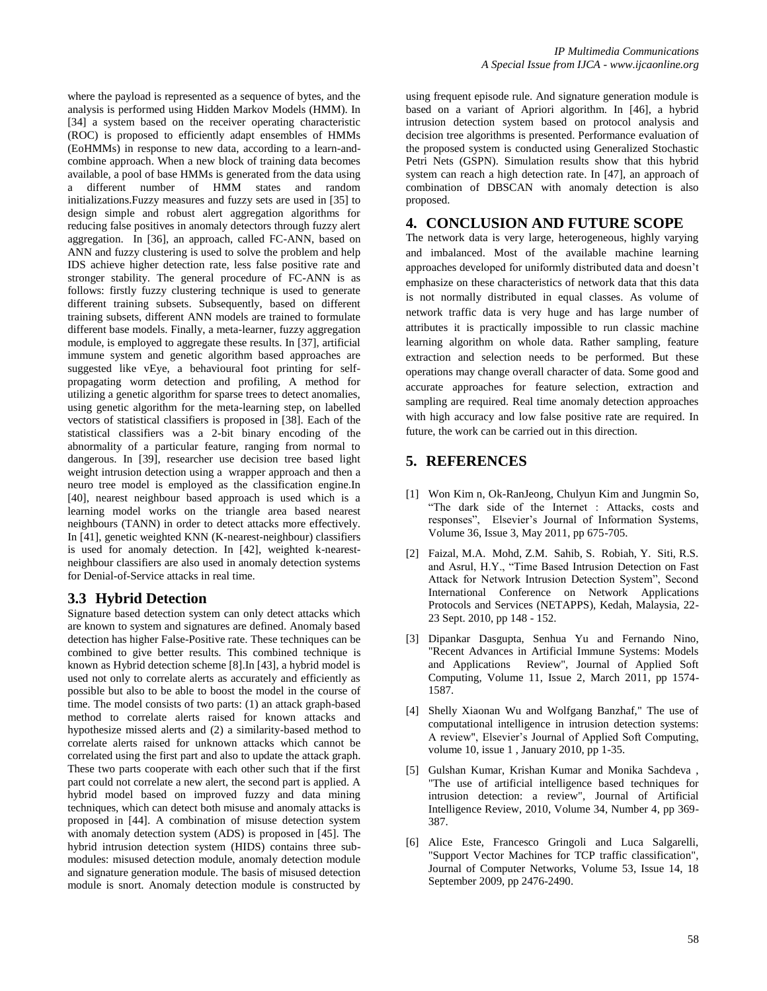where the payload is represented as a sequence of bytes, and the analysis is performed using Hidden Markov Models (HMM). In [34] a system based on the receiver operating characteristic (ROC) is proposed to efficiently adapt ensembles of HMMs (EoHMMs) in response to new data, according to a learn-andcombine approach. When a new block of training data becomes available, a pool of base HMMs is generated from the data using a different number of HMM states and random initializations.Fuzzy measures and fuzzy sets are used in [35] to design simple and robust alert aggregation algorithms for reducing false positives in anomaly detectors through fuzzy alert aggregation. In [36], an approach, called FC-ANN, based on ANN and fuzzy clustering is used to solve the problem and help IDS achieve higher detection rate, less false positive rate and stronger stability. The general procedure of FC-ANN is as follows: firstly fuzzy clustering technique is used to generate different training subsets. Subsequently, based on different training subsets, different ANN models are trained to formulate different base models. Finally, a meta-learner, fuzzy aggregation module, is employed to aggregate these results. In [37], artificial immune system and genetic algorithm based approaches are suggested like vEye, a behavioural foot printing for selfpropagating worm detection and profiling, A method for utilizing a genetic algorithm for sparse trees to detect anomalies, using genetic algorithm for the meta-learning step, on labelled vectors of statistical classifiers is proposed in [38]. Each of the statistical classifiers was a 2-bit binary encoding of the abnormality of a particular feature, ranging from normal to dangerous. In [39], researcher use decision tree based light weight intrusion detection using a wrapper approach and then a neuro tree model is employed as the classification engine.In [40], nearest neighbour based approach is used which is a learning model works on the triangle area based nearest neighbours (TANN) in order to detect attacks more effectively. In [41], genetic weighted KNN (K-nearest-neighbour) classifiers is used for anomaly detection. In [42], weighted k-nearestneighbour classifiers are also used in anomaly detection systems for Denial-of-Service attacks in real time.

## **3.3 Hybrid Detection**

Signature based detection system can only detect attacks which are known to system and signatures are defined. Anomaly based detection has higher False-Positive rate. These techniques can be combined to give better results. This combined technique is known as Hybrid detection scheme [8].In [43], a hybrid model is used not only to correlate alerts as accurately and efficiently as possible but also to be able to boost the model in the course of time. The model consists of two parts: (1) an attack graph-based method to correlate alerts raised for known attacks and hypothesize missed alerts and (2) a similarity-based method to correlate alerts raised for unknown attacks which cannot be correlated using the first part and also to update the attack graph. These two parts cooperate with each other such that if the first part could not correlate a new alert, the second part is applied. A hybrid model based on improved fuzzy and data mining techniques, which can detect both misuse and anomaly attacks is proposed in [44]. A combination of misuse detection system with anomaly detection system (ADS) is proposed in [45]. The hybrid intrusion detection system (HIDS) contains three submodules: misused detection module, anomaly detection module and signature generation module. The basis of misused detection module is snort. Anomaly detection module is constructed by

using frequent episode rule. And signature generation module is based on a variant of Apriori algorithm. In [46], a hybrid intrusion detection system based on protocol analysis and decision tree algorithms is presented. Performance evaluation of the proposed system is conducted using Generalized Stochastic Petri Nets (GSPN). Simulation results show that this hybrid system can reach a high detection rate. In [47], an approach of combination of DBSCAN with anomaly detection is also proposed.

## **4. CONCLUSION AND FUTURE SCOPE**

The network data is very large, heterogeneous, highly varying and imbalanced. Most of the available machine learning approaches developed for uniformly distributed data and doesn't emphasize on these characteristics of network data that this data is not normally distributed in equal classes. As volume of network traffic data is very huge and has large number of attributes it is practically impossible to run classic machine learning algorithm on whole data. Rather sampling, feature extraction and selection needs to be performed. But these operations may change overall character of data. Some good and accurate approaches for feature selection, extraction and sampling are required. Real time anomaly detection approaches with high accuracy and low false positive rate are required. In future, the work can be carried out in this direction.

# **5. REFERENCES**

- [1] Won Kim n, Ok-RanJeong, Chulyun Kim and Jungmin So, ―The dark side of the Internet : Attacks, costs and responses", Elsevier's Journal of Information Systems, Volume 36, Issue 3, May 2011, pp 675-705.
- [2] Faizal, M.A. Mohd, Z.M. Sahib, S. Robiah, Y. Siti, R.S. and Asrul, H.Y., "Time Based Intrusion Detection on Fast Attack for Network Intrusion Detection System", Second International Conference on Network Applications Protocols and Services (NETAPPS), Kedah, Malaysia, 22- 23 Sept. 2010, pp 148 - 152.
- [3] Dipankar Dasgupta, Senhua Yu and Fernando Nino, "Recent Advances in Artificial Immune Systems: Models and Applications Review", Journal of Applied Soft Computing, Volume 11, Issue 2, March 2011, pp 1574- 1587.
- [4] Shelly Xiaonan Wu and Wolfgang Banzhaf," The use of computational intelligence in intrusion detection systems: A review", Elsevier's Journal of Applied Soft Computing, volume 10, issue 1 , January 2010, pp 1-35.
- [5] Gulshan Kumar, Krishan Kumar and Monika Sachdeva , "The use of artificial intelligence based techniques for intrusion detection: a review", Journal of Artificial Intelligence Review, 2010, Volume 34, Number 4, pp 369- 387.
- [6] Alice Este, Francesco Gringoli and Luca Salgarelli, "Support Vector Machines for TCP traffic classification", Journal of Computer Networks, Volume 53, Issue 14, 18 September 2009, pp 2476-2490.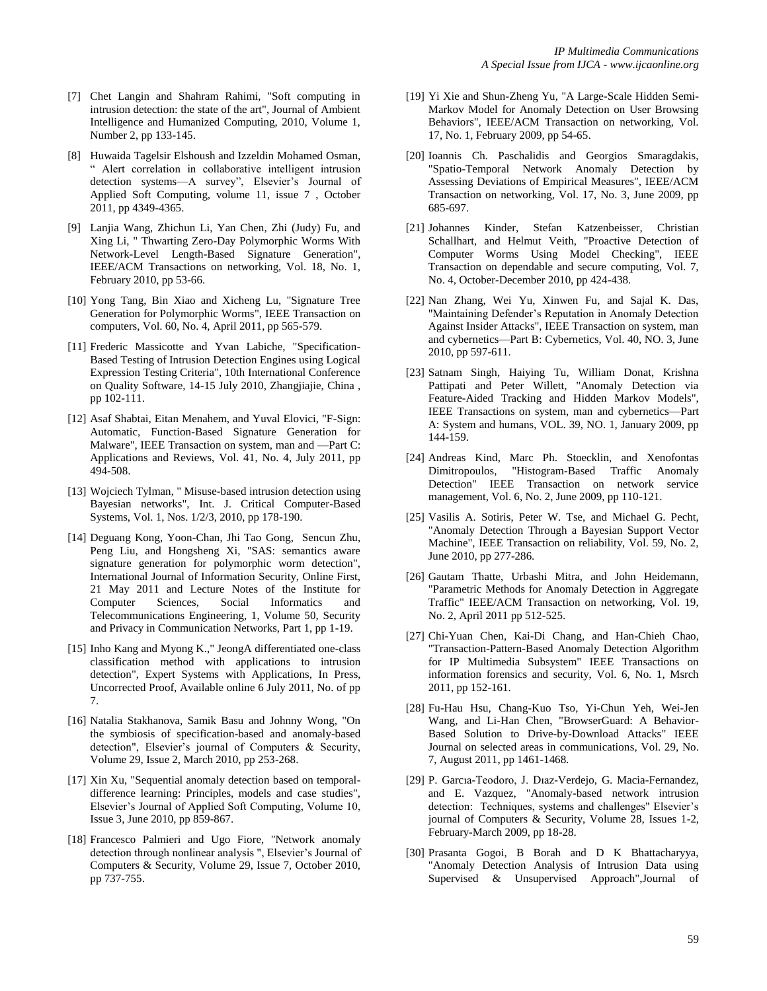- [7] Chet Langin and Shahram Rahimi, "Soft computing in intrusion detection: the state of the art", Journal of Ambient Intelligence and Humanized Computing, 2010, Volume 1, Number 2, pp 133-145.
- [8] Huwaida Tagelsir Elshoush and Izzeldin Mohamed Osman, ― Alert correlation in collaborative intelligent intrusion detection systems-A survey", Elsevier's Journal of Applied Soft Computing, volume 11, issue 7 , October 2011, pp 4349-4365.
- [9] Lanjia Wang, Zhichun Li, Yan Chen, Zhi (Judy) Fu, and Xing Li, " Thwarting Zero-Day Polymorphic Worms With Network-Level Length-Based Signature Generation", IEEE/ACM Transactions on networking, Vol. 18, No. 1, February 2010, pp 53-66.
- [10] Yong Tang, Bin Xiao and Xicheng Lu, "Signature Tree Generation for Polymorphic Worms", IEEE Transaction on computers, Vol. 60, No. 4, April 2011, pp 565-579.
- [11] Frederic Massicotte and Yvan Labiche, "Specification-Based Testing of Intrusion Detection Engines using Logical Expression Testing Criteria", 10th International Conference on Quality Software, 14-15 July 2010, Zhangjiajie, China , pp 102-111.
- [12] Asaf Shabtai, Eitan Menahem, and Yuval Elovici, "F-Sign: Automatic, Function-Based Signature Generation for Malware", IEEE Transaction on system, man and —Part C: Applications and Reviews, Vol. 41, No. 4, July 2011, pp 494-508.
- [13] Wojciech Tylman, " Misuse-based intrusion detection using Bayesian networks", Int. J. Critical Computer-Based Systems, Vol. 1, Nos. 1/2/3, 2010, pp 178-190.
- [14] Deguang Kong, Yoon-Chan, Jhi Tao Gong, Sencun Zhu, Peng Liu, and Hongsheng Xi, "SAS: semantics aware signature generation for polymorphic worm detection", International Journal of Information Security, Online First, 21 May 2011 and Lecture Notes of the Institute for Computer Sciences, Social Informatics and Telecommunications Engineering, 1, Volume 50, Security and Privacy in Communication Networks, Part 1, pp 1-19.
- [15] Inho Kang and Myong K.," JeongA differentiated one-class classification method with applications to intrusion detection", Expert Systems with Applications, In Press, Uncorrected Proof, Available online 6 July 2011, No. of pp 7.
- [16] Natalia Stakhanova, Samik Basu and Johnny Wong, "On the symbiosis of specification-based and anomaly-based detection", Elsevier's journal of Computers & Security, Volume 29, Issue 2, March 2010, pp 253-268.
- [17] Xin Xu, "Sequential anomaly detection based on temporaldifference learning: Principles, models and case studies", Elsevier's Journal of Applied Soft Computing, Volume 10, Issue 3, June 2010, pp 859-867.
- [18] Francesco Palmieri and Ugo Fiore, "Network anomaly detection through nonlinear analysis ", Elsevier's Journal of Computers & Security, Volume 29, Issue 7, October 2010, pp 737-755.
- [19] Yi Xie and Shun-Zheng Yu, "A Large-Scale Hidden Semi-Markov Model for Anomaly Detection on User Browsing Behaviors", IEEE/ACM Transaction on networking, Vol. 17, No. 1, February 2009, pp 54-65.
- [20] Ioannis Ch. Paschalidis and Georgios Smaragdakis, "Spatio-Temporal Network Anomaly Detection by Assessing Deviations of Empirical Measures", IEEE/ACM Transaction on networking, Vol. 17, No. 3, June 2009, pp 685-697.
- [21] Johannes Kinder, Stefan Katzenbeisser, Christian Schallhart, and Helmut Veith, "Proactive Detection of Computer Worms Using Model Checking", IEEE Transaction on dependable and secure computing, Vol. 7, No. 4, October-December 2010, pp 424-438.
- [22] Nan Zhang, Wei Yu, Xinwen Fu, and Sajal K. Das, "Maintaining Defender's Reputation in Anomaly Detection Against Insider Attacks", IEEE Transaction on system, man and cybernetics—Part B: Cybernetics, Vol. 40, NO. 3, June 2010, pp 597-611.
- [23] Satnam Singh, Haiying Tu, William Donat, Krishna Pattipati and Peter Willett, "Anomaly Detection via Feature-Aided Tracking and Hidden Markov Models", IEEE Transactions on system, man and cybernetics—Part A: System and humans, VOL. 39, NO. 1, January 2009, pp 144-159.
- [24] Andreas Kind, Marc Ph. Stoecklin, and Xenofontas Dimitropoulos, "Histogram-Based Traffic Anomaly Detection" IEEE Transaction on network service management, Vol. 6, No. 2, June 2009, pp 110-121.
- [25] Vasilis A. Sotiris, Peter W. Tse, and Michael G. Pecht, "Anomaly Detection Through a Bayesian Support Vector Machine", IEEE Transaction on reliability, Vol. 59, No. 2, June 2010, pp 277-286.
- [26] Gautam Thatte, Urbashi Mitra, and John Heidemann, "Parametric Methods for Anomaly Detection in Aggregate Traffic" IEEE/ACM Transaction on networking, Vol. 19, No. 2, April 2011 pp 512-525.
- [27] Chi-Yuan Chen, Kai-Di Chang, and Han-Chieh Chao, "Transaction-Pattern-Based Anomaly Detection Algorithm for IP Multimedia Subsystem" IEEE Transactions on information forensics and security, Vol. 6, No. 1, Msrch 2011, pp 152-161.
- [28] Fu-Hau Hsu, Chang-Kuo Tso, Yi-Chun Yeh, Wei-Jen Wang, and Li-Han Chen, "BrowserGuard: A Behavior-Based Solution to Drive-by-Download Attacks" IEEE Journal on selected areas in communications, Vol. 29, No. 7, August 2011, pp 1461-1468.
- [29] P. Garcıa-Teodoro, J. Dıaz-Verdejo, G. Macia-Fernandez, and E. Vazquez, "Anomaly-based network intrusion detection: Techniques, systems and challenges" Elsevier's journal of Computers & Security, Volume 28, Issues 1-2, February-March 2009, pp 18-28.
- [30] Prasanta Gogoi, B Borah and D K Bhattacharyya, "Anomaly Detection Analysis of Intrusion Data using Supervised & Unsupervised Approach",Journal of